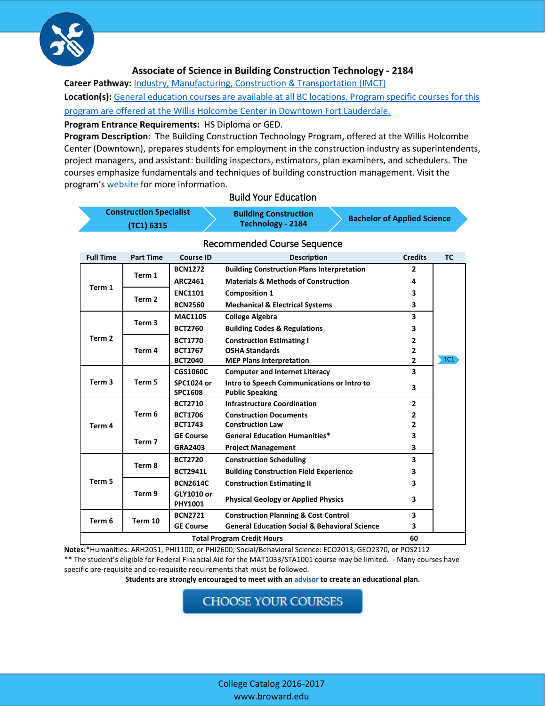

#### **Associate of Science in Building Construction Technology - 2184**

**Career Pathway:** *[Industry, Manufacturing, Construction](http://www.broward.edu/academics/programs/Pages/industry-manufacturing-construction-IMC.aspx) & Transportation (IMCT)* 

**Location(s):** [General education courses are available at all BC locations. Program specific courses for this](http://www.broward.edu/locations/Pages/default.aspx)  [program are offered at the Willis Holcombe Center in Downtown Fort Lauderdale.](http://www.broward.edu/locations/Pages/default.aspx)

**Program Entrance Requirements:** HS Diploma or GED.

**Program Description**: The Building Construction Technology Program, offered at the Willis Holcombe Center (Downtown), prepares students for employment in the construction industry as superintendents, project managers, and assistant: building inspectors, estimators, plan examiners, and schedulers. The courses emphasize fundamentals and techniques of building construction management. Visit the program's [website](http://www.broward.edu/academics/programs/construction/Pages/default.aspx) for more information.

| <b>Construction Specialist</b> | <b>Building Construction</b><br>Technology - 2184 | <b>Bachelor of Applied Science</b> |  |
|--------------------------------|---------------------------------------------------|------------------------------------|--|
| (TC1) 6315                     |                                                   |                                    |  |

# Build Your Education

| <b>Full Time</b>                  | <b>Part Time</b>  | <b>Course ID</b>                    | <b>Description</b>                                       | <b>Credits</b> | <b>TC</b> |
|-----------------------------------|-------------------|-------------------------------------|----------------------------------------------------------|----------------|-----------|
|                                   |                   | <b>BCN1272</b>                      | <b>Building Construction Plans Interpretation</b>        | $\overline{2}$ |           |
|                                   | Term 1            | <b>ARC2461</b>                      | <b>Materials &amp; Methods of Construction</b>           | 4              |           |
| Term 1                            | Term 2            | <b>ENC1101</b>                      | <b>Composition 1</b>                                     | 3              |           |
|                                   |                   | <b>BCN2560</b>                      | <b>Mechanical &amp; Electrical Systems</b>               | 3              |           |
|                                   | Term <sub>3</sub> | <b>MAC1105</b>                      | <b>College Algebra</b>                                   | 3              |           |
|                                   |                   | <b>BCT2760</b>                      | <b>Building Codes &amp; Regulations</b>                  | 3              |           |
| Term <sub>2</sub>                 | Term 4            | <b>BCT1770</b>                      | <b>Construction Estimating I</b>                         | 2              |           |
|                                   |                   | <b>BCT1767</b>                      | <b>OSHA Standards</b>                                    | 2              |           |
|                                   |                   | <b>BCT2040</b>                      | <b>MEP Plans Interpretation</b>                          | $\overline{2}$ | TC1       |
|                                   | Term 5            | <b>CGS1060C</b>                     | <b>Computer and Internet Literacy</b>                    | 3              |           |
| Term <sub>3</sub>                 |                   | <b>SPC1024 or</b>                   | Intro to Speech Communications or Intro to               | 3              |           |
|                                   |                   | <b>SPC1608</b>                      | <b>Public Speaking</b>                                   |                |           |
|                                   |                   | <b>BCT2710</b>                      | <b>Infrastructure Coordination</b>                       | $\overline{2}$ |           |
|                                   | Term 6            | <b>BCT1706</b>                      | <b>Construction Documents</b>                            | $\overline{2}$ |           |
| Term 4                            |                   | <b>BCT1743</b>                      | <b>Construction Law</b>                                  | 2              |           |
|                                   |                   | <b>GE Course</b>                    | <b>General Education Humanities*</b>                     | 3              |           |
|                                   | Term 7            | <b>GRA2403</b>                      | <b>Project Management</b>                                | 3              |           |
|                                   | Term 8            | <b>BCT2720</b>                      | <b>Construction Scheduling</b>                           | 3              |           |
|                                   |                   | <b>BCT2941L</b>                     | <b>Building Construction Field Experience</b>            | 3              |           |
| Term 5                            |                   | <b>BCN2614C</b>                     | <b>Construction Estimating II</b>                        | 3              |           |
|                                   | Term 9            | <b>GLY1010 or</b><br><b>PHY1001</b> | <b>Physical Geology or Applied Physics</b>               | 3              |           |
|                                   | Term 10           | <b>BCN2721</b>                      | <b>Construction Planning &amp; Cost Control</b>          | 3              |           |
| Term 6                            |                   | <b>GE Course</b>                    | <b>General Education Social &amp; Behavioral Science</b> | 3              |           |
| <b>Total Program Credit Hours</b> |                   |                                     |                                                          | 60             |           |

## Recommended Course Sequence

**Notes:**\*Humanities: ARH2051, PHI1100, or PHI2600; Social/Behavioral Science: ECO2013, GEO2370, or POS2112 \*\* The student's eligible for Federal Financial Aid for the MAT1033/STA1001 course may be limited. - Many courses have specific pre-requisite and co-requisite requirements that must be followed.

**Students are strongly encouraged to meet with a[n advisor](http://www.broward.edu/studentresources/advising/Pages/default.aspx) to create an educational plan.**

**CHOOSE YOUR COURSES**